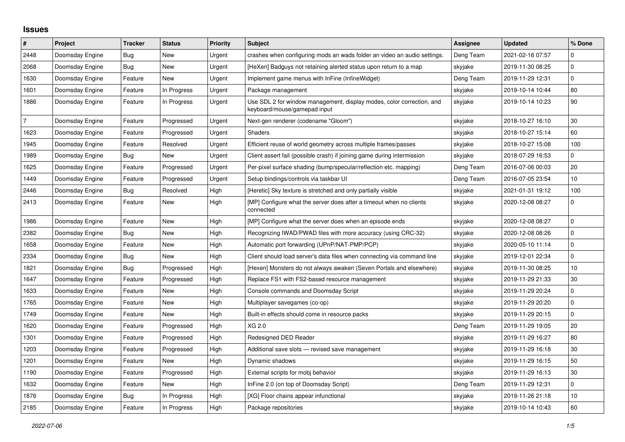## **Issues**

| $\vert$ #      | <b>Project</b>  | <b>Tracker</b> | <b>Status</b> | <b>Priority</b> | <b>Subject</b>                                                                                        | Assignee  | <b>Updated</b>   | % Done          |
|----------------|-----------------|----------------|---------------|-----------------|-------------------------------------------------------------------------------------------------------|-----------|------------------|-----------------|
| 2448           | Doomsday Engine | <b>Bug</b>     | New           | Urgent          | crashes when configuring mods an wads folder an video an audio settings.                              | Deng Team | 2021-02-16 07:57 | $\mathbf 0$     |
| 2068           | Doomsday Engine | Bug            | <b>New</b>    | Urgent          | [HeXen] Badguys not retaining alerted status upon return to a map                                     | skyjake   | 2019-11-30 08:25 | $\mathbf 0$     |
| 1630           | Doomsday Engine | Feature        | New           | Urgent          | Implement game menus with InFine (InfineWidget)                                                       | Deng Team | 2019-11-29 12:31 | $\mathbf 0$     |
| 1601           | Doomsday Engine | Feature        | In Progress   | Urgent          | Package management                                                                                    | skyjake   | 2019-10-14 10:44 | 80              |
| 1886           | Doomsday Engine | Feature        | In Progress   | Urgent          | Use SDL 2 for window management, display modes, color correction, and<br>keyboard/mouse/gamepad input | skyjake   | 2019-10-14 10:23 | 90              |
| $\overline{7}$ | Doomsday Engine | Feature        | Progressed    | Urgent          | Next-gen renderer (codename "Gloom")                                                                  | skyjake   | 2018-10-27 16:10 | $30\,$          |
| 1623           | Doomsday Engine | Feature        | Progressed    | Urgent          | <b>Shaders</b>                                                                                        | skyjake   | 2018-10-27 15:14 | 60              |
| 1945           | Doomsday Engine | Feature        | Resolved      | Urgent          | Efficient reuse of world geometry across multiple frames/passes                                       | skyjake   | 2018-10-27 15:08 | 100             |
| 1989           | Doomsday Engine | Bug            | New           | Urgent          | Client assert fail (possible crash) if joining game during intermission                               | skyjake   | 2018-07-29 16:53 | $\mathbf 0$     |
| 1625           | Doomsday Engine | Feature        | Progressed    | Urgent          | Per-pixel surface shading (bump/specular/reflection etc. mapping)                                     | Deng Team | 2016-07-06 00:03 | 20              |
| 1449           | Doomsday Engine | Feature        | Progressed    | Urgent          | Setup bindings/controls via taskbar UI                                                                | Deng Team | 2016-07-05 23:54 | 10 <sup>1</sup> |
| 2446           | Doomsday Engine | <b>Bug</b>     | Resolved      | High            | [Heretic] Sky texture is stretched and only partially visible                                         | skyjake   | 2021-01-31 19:12 | 100             |
| 2413           | Doomsday Engine | Feature        | New           | High            | [MP] Configure what the server does after a timeout when no clients<br>connected                      | skyjake   | 2020-12-08 08:27 | $\mathbf 0$     |
| 1986           | Doomsday Engine | Feature        | New           | High            | [MP] Configure what the server does when an episode ends                                              | skyjake   | 2020-12-08 08:27 | $\mathbf 0$     |
| 2382           | Doomsday Engine | Bug            | <b>New</b>    | High            | Recognizing IWAD/PWAD files with more accuracy (using CRC-32)                                         | skyjake   | 2020-12-08 08:26 | $\mathbf 0$     |
| 1658           | Doomsday Engine | Feature        | New           | High            | Automatic port forwarding (UPnP/NAT-PMP/PCP)                                                          | skyjake   | 2020-05-10 11:14 | $\mathbf 0$     |
| 2334           | Doomsday Engine | Bug            | New           | High            | Client should load server's data files when connecting via command line                               | skyjake   | 2019-12-01 22:34 | $\Omega$        |
| 1821           | Doomsday Engine | Bug            | Progressed    | High            | [Hexen] Monsters do not always awaken (Seven Portals and elsewhere)                                   | skyjake   | 2019-11-30 08:25 | 10              |
| 1647           | Doomsday Engine | Feature        | Progressed    | High            | Replace FS1 with FS2-based resource management                                                        | skyjake   | 2019-11-29 21:33 | $30\,$          |
| 1633           | Doomsday Engine | Feature        | New           | High            | Console commands and Doomsday Script                                                                  | skyjake   | 2019-11-29 20:24 | $\mathbf 0$     |
| 1765           | Doomsday Engine | Feature        | New           | High            | Multiplayer savegames (co-op)                                                                         | skyjake   | 2019-11-29 20:20 | $\mathbf 0$     |
| 1749           | Doomsday Engine | Feature        | New           | High            | Built-in effects should come in resource packs                                                        | skyjake   | 2019-11-29 20:15 | $\mathbf 0$     |
| 1620           | Doomsday Engine | Feature        | Progressed    | High            | XG 2.0                                                                                                | Deng Team | 2019-11-29 19:05 | 20              |
| 1301           | Doomsday Engine | Feature        | Progressed    | High            | Redesigned DED Reader                                                                                 | skyjake   | 2019-11-29 16:27 | 80              |
| 1203           | Doomsday Engine | Feature        | Progressed    | High            | Additional save slots - revised save management                                                       | skyjake   | 2019-11-29 16:18 | $30\,$          |
| 1201           | Doomsday Engine | Feature        | <b>New</b>    | High            | Dynamic shadows                                                                                       | skyjake   | 2019-11-29 16:15 | 50              |
| 1190           | Doomsday Engine | Feature        | Progressed    | High            | External scripts for mobj behavior                                                                    | skyjake   | 2019-11-29 16:13 | $30\,$          |
| 1632           | Doomsday Engine | Feature        | New           | High            | InFine 2.0 (on top of Doomsday Script)                                                                | Deng Team | 2019-11-29 12:31 | $\mathbf 0$     |
| 1876           | Doomsday Engine | <b>Bug</b>     | In Progress   | High            | [XG] Floor chains appear infunctional                                                                 | skyjake   | 2019-11-26 21:18 | 10              |
| 2185           | Doomsday Engine | Feature        | In Progress   | High            | Package repositories                                                                                  | skyjake   | 2019-10-14 10:43 | 60              |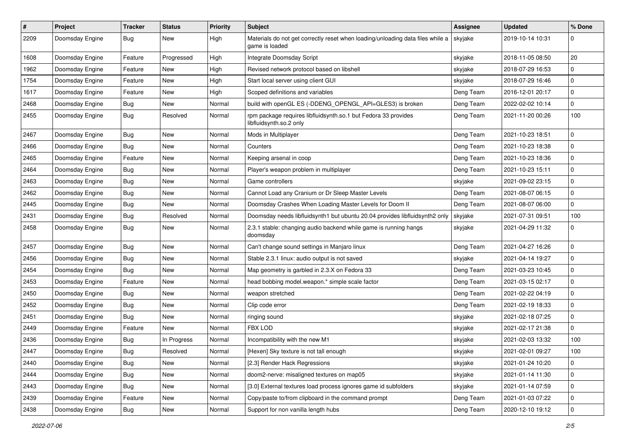| $\sharp$ | Project         | <b>Tracker</b> | <b>Status</b> | <b>Priority</b> | <b>Subject</b>                                                                                   | <b>Assignee</b> | <b>Updated</b>   | % Done      |
|----------|-----------------|----------------|---------------|-----------------|--------------------------------------------------------------------------------------------------|-----------------|------------------|-------------|
| 2209     | Doomsday Engine | Bug            | New           | High            | Materials do not get correctly reset when loading/unloading data files while a<br>game is loaded | skyjake         | 2019-10-14 10:31 | 0           |
| 1608     | Doomsday Engine | Feature        | Progressed    | High            | Integrate Doomsday Script                                                                        | skyjake         | 2018-11-05 08:50 | 20          |
| 1962     | Doomsday Engine | Feature        | New           | High            | Revised network protocol based on libshell                                                       | skyjake         | 2018-07-29 16:53 | $\mathbf 0$ |
| 1754     | Doomsday Engine | Feature        | New           | High            | Start local server using client GUI                                                              | skyjake         | 2018-07-29 16:46 | $\mathbf 0$ |
| 1617     | Doomsday Engine | Feature        | New           | High            | Scoped definitions and variables                                                                 | Deng Team       | 2016-12-01 20:17 | $\mathbf 0$ |
| 2468     | Doomsday Engine | <b>Bug</b>     | New           | Normal          | build with openGL ES (-DDENG_OPENGL_API=GLES3) is broken                                         | Deng Team       | 2022-02-02 10:14 | $\mathbf 0$ |
| 2455     | Doomsday Engine | Bug            | Resolved      | Normal          | rpm package requires libfluidsynth.so.1 but Fedora 33 provides<br>libfluidsynth.so.2 only        | Deng Team       | 2021-11-20 00:26 | 100         |
| 2467     | Doomsday Engine | Bug            | New           | Normal          | Mods in Multiplayer                                                                              | Deng Team       | 2021-10-23 18:51 | $\mathbf 0$ |
| 2466     | Doomsday Engine | Bug            | New           | Normal          | Counters                                                                                         | Deng Team       | 2021-10-23 18:38 | $\pmb{0}$   |
| 2465     | Doomsday Engine | Feature        | New           | Normal          | Keeping arsenal in coop                                                                          | Deng Team       | 2021-10-23 18:36 | $\mathbf 0$ |
| 2464     | Doomsday Engine | Bug            | New           | Normal          | Player's weapon problem in multiplayer                                                           | Deng Team       | 2021-10-23 15:11 | $\mathbf 0$ |
| 2463     | Doomsday Engine | Bug            | New           | Normal          | Game controllers                                                                                 | skyjake         | 2021-09-02 23:15 | $\mathbf 0$ |
| 2462     | Doomsday Engine | Bug            | New           | Normal          | Cannot Load any Cranium or Dr Sleep Master Levels                                                | Deng Team       | 2021-08-07 06:15 | $\pmb{0}$   |
| 2445     | Doomsday Engine | Bug            | New           | Normal          | Doomsday Crashes When Loading Master Levels for Doom II                                          | Deng Team       | 2021-08-07 06:00 | $\mathbf 0$ |
| 2431     | Doomsday Engine | <b>Bug</b>     | Resolved      | Normal          | Doomsday needs libfluidsynth1 but ubuntu 20.04 provides libfluidsynth2 only                      | skyjake         | 2021-07-31 09:51 | 100         |
| 2458     | Doomsday Engine | Bug            | <b>New</b>    | Normal          | 2.3.1 stable: changing audio backend while game is running hangs<br>doomsday                     | skyjake         | 2021-04-29 11:32 | $\mathbf 0$ |
| 2457     | Doomsday Engine | Bug            | New           | Normal          | Can't change sound settings in Manjaro linux                                                     | Deng Team       | 2021-04-27 16:26 | $\mathbf 0$ |
| 2456     | Doomsday Engine | Bug            | New           | Normal          | Stable 2.3.1 linux: audio output is not saved                                                    | skyjake         | 2021-04-14 19:27 | $\mathbf 0$ |
| 2454     | Doomsday Engine | Bug            | <b>New</b>    | Normal          | Map geometry is garbled in 2.3.X on Fedora 33                                                    | Deng Team       | 2021-03-23 10:45 | $\mathbf 0$ |
| 2453     | Doomsday Engine | Feature        | New           | Normal          | head bobbing model.weapon.* simple scale factor                                                  | Deng Team       | 2021-03-15 02:17 | $\mathbf 0$ |
| 2450     | Doomsday Engine | Bug            | New           | Normal          | weapon stretched                                                                                 | Deng Team       | 2021-02-22 04:19 | $\mathbf 0$ |
| 2452     | Doomsday Engine | Bug            | New           | Normal          | Clip code error                                                                                  | Deng Team       | 2021-02-19 18:33 | $\mathbf 0$ |
| 2451     | Doomsday Engine | Bug            | New           | Normal          | ringing sound                                                                                    | skyjake         | 2021-02-18 07:25 | $\mathbf 0$ |
| 2449     | Doomsday Engine | Feature        | New           | Normal          | <b>FBX LOD</b>                                                                                   | skyjake         | 2021-02-17 21:38 | $\mathbf 0$ |
| 2436     | Doomsday Engine | <b>Bug</b>     | In Progress   | Normal          | Incompatibility with the new M1                                                                  | skyjake         | 2021-02-03 13:32 | 100         |
| 2447     | Doomsday Engine | Bug            | Resolved      | Normal          | [Hexen] Sky texture is not tall enough                                                           | skyjake         | 2021-02-01 09:27 | 100         |
| 2440     | Doomsday Engine | Bug            | New           | Normal          | [2.3] Render Hack Regressions                                                                    | skyjake         | 2021-01-24 10:20 | $\mathbf 0$ |
| 2444     | Doomsday Engine | Bug            | New           | Normal          | doom2-nerve: misaligned textures on map05                                                        | skyjake         | 2021-01-14 11:30 | $\pmb{0}$   |
| 2443     | Doomsday Engine | <b>Bug</b>     | New           | Normal          | [3.0] External textures load process ignores game id subfolders                                  | skyjake         | 2021-01-14 07:59 | $\mathbf 0$ |
| 2439     | Doomsday Engine | Feature        | New           | Normal          | Copy/paste to/from clipboard in the command prompt                                               | Deng Team       | 2021-01-03 07:22 | $\pmb{0}$   |
| 2438     | Doomsday Engine | Bug            | New           | Normal          | Support for non vanilla length hubs                                                              | Deng Team       | 2020-12-10 19:12 | $\mathsf 0$ |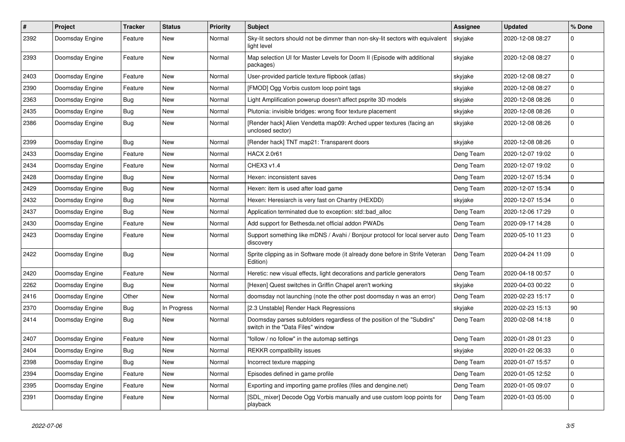| #    | Project         | <b>Tracker</b> | <b>Status</b> | <b>Priority</b> | Subject                                                                                                     | <b>Assignee</b> | <b>Updated</b>   | % Done      |
|------|-----------------|----------------|---------------|-----------------|-------------------------------------------------------------------------------------------------------------|-----------------|------------------|-------------|
| 2392 | Doomsday Engine | Feature        | New           | Normal          | Sky-lit sectors should not be dimmer than non-sky-lit sectors with equivalent<br>liaht level                | skyjake         | 2020-12-08 08:27 | 0           |
| 2393 | Doomsday Engine | Feature        | New           | Normal          | Map selection UI for Master Levels for Doom II (Episode with additional<br>packages)                        | skyjake         | 2020-12-08 08:27 | $\mathbf 0$ |
| 2403 | Doomsday Engine | Feature        | New           | Normal          | User-provided particle texture flipbook (atlas)                                                             | skyjake         | 2020-12-08 08:27 | $\mathbf 0$ |
| 2390 | Doomsday Engine | Feature        | New           | Normal          | [FMOD] Ogg Vorbis custom loop point tags                                                                    | skyjake         | 2020-12-08 08:27 | $\mathbf 0$ |
| 2363 | Doomsday Engine | Bug            | <b>New</b>    | Normal          | Light Amplification powerup doesn't affect psprite 3D models                                                | skyjake         | 2020-12-08 08:26 | $\mathbf 0$ |
| 2435 | Doomsday Engine | Bug            | New           | Normal          | Plutonia: invisible bridges: wrong floor texture placement                                                  | skyjake         | 2020-12-08 08:26 | $\mathbf 0$ |
| 2386 | Doomsday Engine | Bug            | New           | Normal          | [Render hack] Alien Vendetta map09: Arched upper textures (facing an<br>unclosed sector)                    | skyjake         | 2020-12-08 08:26 | $\mathbf 0$ |
| 2399 | Doomsday Engine | Bug            | New           | Normal          | [Render hack] TNT map21: Transparent doors                                                                  | skyjake         | 2020-12-08 08:26 | $\mathbf 0$ |
| 2433 | Doomsday Engine | Feature        | New           | Normal          | <b>HACX 2.0r61</b>                                                                                          | Deng Team       | 2020-12-07 19:02 | $\mathbf 0$ |
| 2434 | Doomsday Engine | Feature        | New           | Normal          | CHEX3 v1.4                                                                                                  | Deng Team       | 2020-12-07 19:02 | $\mathbf 0$ |
| 2428 | Doomsday Engine | Bug            | New           | Normal          | Hexen: inconsistent saves                                                                                   | Deng Team       | 2020-12-07 15:34 | $\mathbf 0$ |
| 2429 | Doomsday Engine | Bug            | New           | Normal          | Hexen: item is used after load game                                                                         | Deng Team       | 2020-12-07 15:34 | $\mathbf 0$ |
| 2432 | Doomsday Engine | Bug            | New           | Normal          | Hexen: Heresiarch is very fast on Chantry (HEXDD)                                                           | skyjake         | 2020-12-07 15:34 | $\mathbf 0$ |
| 2437 | Doomsday Engine | Bug            | New           | Normal          | Application terminated due to exception: std::bad alloc                                                     | Deng Team       | 2020-12-06 17:29 | $\mathbf 0$ |
| 2430 | Doomsday Engine | Feature        | New           | Normal          | Add support for Bethesda.net official addon PWADs                                                           | Deng Team       | 2020-09-17 14:28 | $\mathbf 0$ |
| 2423 | Doomsday Engine | Feature        | New           | Normal          | Support something like mDNS / Avahi / Bonjour protocol for local server auto<br>discovery                   | Deng Team       | 2020-05-10 11:23 | $\mathbf 0$ |
| 2422 | Doomsday Engine | Bug            | New           | Normal          | Sprite clipping as in Software mode (it already done before in Strife Veteran<br>Edition)                   | Deng Team       | 2020-04-24 11:09 | $\mathbf 0$ |
| 2420 | Doomsday Engine | Feature        | <b>New</b>    | Normal          | Heretic: new visual effects, light decorations and particle generators                                      | Deng Team       | 2020-04-18 00:57 | $\mathbf 0$ |
| 2262 | Doomsday Engine | Bug            | New           | Normal          | [Hexen] Quest switches in Griffin Chapel aren't working                                                     | skyjake         | 2020-04-03 00:22 | $\mathbf 0$ |
| 2416 | Doomsday Engine | Other          | New           | Normal          | doomsday not launching (note the other post doomsday n was an error)                                        | Deng Team       | 2020-02-23 15:17 | $\mathbf 0$ |
| 2370 | Doomsday Engine | Bug            | In Progress   | Normal          | [2.3 Unstable] Render Hack Regressions                                                                      | skyjake         | 2020-02-23 15:13 | 90          |
| 2414 | Doomsday Engine | Bug            | New           | Normal          | Doomsday parses subfolders regardless of the position of the "Subdirs"<br>switch in the "Data Files" window | Deng Team       | 2020-02-08 14:18 | 0           |
| 2407 | Doomsday Engine | Feature        | New           | Normal          | "follow / no follow" in the automap settings                                                                | Deng Team       | 2020-01-28 01:23 | $\mathbf 0$ |
| 2404 | Doomsday Engine | Bug            | New           | Normal          | <b>REKKR</b> compatibility issues                                                                           | skyjake         | 2020-01-22 06:33 | $\mathbf 0$ |
| 2398 | Doomsday Engine | Bug            | New           | Normal          | Incorrect texture mapping                                                                                   | Deng Team       | 2020-01-07 15:57 | $\mathbf 0$ |
| 2394 | Doomsday Engine | Feature        | New           | Normal          | Episodes defined in game profile                                                                            | Deng Team       | 2020-01-05 12:52 | $\mathbf 0$ |
| 2395 | Doomsday Engine | Feature        | New           | Normal          | Exporting and importing game profiles (files and dengine.net)                                               | Deng Team       | 2020-01-05 09:07 | $\pmb{0}$   |
| 2391 | Doomsday Engine | Feature        | New           | Normal          | [SDL_mixer] Decode Ogg Vorbis manually and use custom loop points for<br>playback                           | Deng Team       | 2020-01-03 05:00 | $\mathbf 0$ |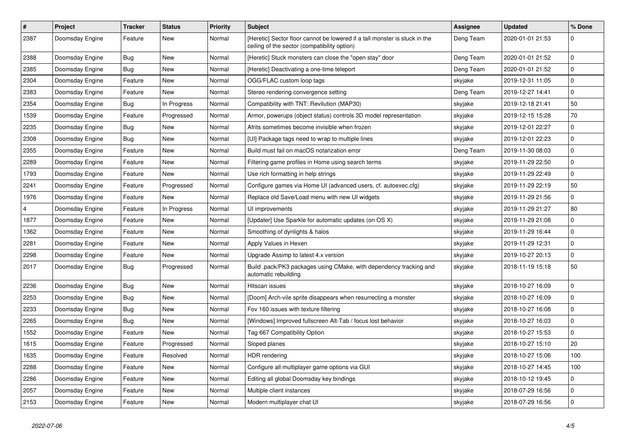| #    | <b>Project</b>  | <b>Tracker</b> | <b>Status</b> | Priority | <b>Subject</b>                                                                                                             | <b>Assignee</b> | <b>Updated</b>   | % Done       |
|------|-----------------|----------------|---------------|----------|----------------------------------------------------------------------------------------------------------------------------|-----------------|------------------|--------------|
| 2387 | Doomsday Engine | Feature        | New           | Normal   | [Heretic] Sector floor cannot be lowered if a tall monster is stuck in the<br>ceiling of the sector (compatibility option) | Deng Team       | 2020-01-01 21:53 | $\mathbf 0$  |
| 2388 | Doomsday Engine | Bug            | <b>New</b>    | Normal   | [Heretic] Stuck monsters can close the "open stay" door                                                                    | Deng Team       | 2020-01-01 21:52 | $\mathbf 0$  |
| 2385 | Doomsday Engine | Bug            | <b>New</b>    | Normal   | [Heretic] Deactivating a one-time teleport                                                                                 | Deng Team       | 2020-01-01 21:52 | $\mathbf 0$  |
| 2304 | Doomsday Engine | Feature        | New           | Normal   | OGG/FLAC custom loop tags                                                                                                  | skyjake         | 2019-12-31 11:05 | $\mathbf 0$  |
| 2383 | Doomsday Engine | Feature        | <b>New</b>    | Normal   | Stereo rendering convergence setting                                                                                       | Deng Team       | 2019-12-27 14:41 | $\mathbf 0$  |
| 2354 | Doomsday Engine | Bug            | In Progress   | Normal   | Compatibility with TNT: Revilution (MAP30)                                                                                 | skyjake         | 2019-12-18 21:41 | 50           |
| 1539 | Doomsday Engine | Feature        | Progressed    | Normal   | Armor, powerups (object status) controls 3D model representation                                                           | skyjake         | 2019-12-15 15:28 | 70           |
| 2235 | Doomsday Engine | Bug            | New           | Normal   | Afrits sometimes become invisible when frozen                                                                              | skyjake         | 2019-12-01 22:27 | $\pmb{0}$    |
| 2308 | Doomsday Engine | Bug            | <b>New</b>    | Normal   | [UI] Package tags need to wrap to multiple lines                                                                           | skyjake         | 2019-12-01 22:23 | $\pmb{0}$    |
| 2355 | Doomsday Engine | Feature        | <b>New</b>    | Normal   | Build must fail on macOS notarization error                                                                                | Deng Team       | 2019-11-30 08:03 | $\pmb{0}$    |
| 2289 | Doomsday Engine | Feature        | New           | Normal   | Filtering game profiles in Home using search terms                                                                         | skyjake         | 2019-11-29 22:50 | $\mathbf 0$  |
| 1793 | Doomsday Engine | Feature        | <b>New</b>    | Normal   | Use rich formatting in help strings                                                                                        | skyjake         | 2019-11-29 22:49 | $\mathbf{0}$ |
| 2241 | Doomsday Engine | Feature        | Progressed    | Normal   | Configure games via Home UI (advanced users, cf. autoexec.cfg)                                                             | skyjake         | 2019-11-29 22:19 | 50           |
| 1976 | Doomsday Engine | Feature        | <b>New</b>    | Normal   | Replace old Save/Load menu with new UI widgets                                                                             | skyjake         | 2019-11-29 21:56 | $\mathbf 0$  |
| 4    | Doomsday Engine | Feature        | In Progress   | Normal   | UI improvements                                                                                                            | skyjake         | 2019-11-29 21:27 | 80           |
| 1877 | Doomsday Engine | Feature        | New           | Normal   | [Updater] Use Sparkle for automatic updates (on OS X)                                                                      | skyjake         | 2019-11-29 21:08 | $\pmb{0}$    |
| 1362 | Doomsday Engine | Feature        | <b>New</b>    | Normal   | Smoothing of dynlights & halos                                                                                             | skyjake         | 2019-11-29 16:44 | $\mathbf 0$  |
| 2281 | Doomsday Engine | Feature        | New           | Normal   | Apply Values in Hexen                                                                                                      | skyjake         | 2019-11-29 12:31 | $\mathbf 0$  |
| 2298 | Doomsday Engine | Feature        | New           | Normal   | Upgrade Assimp to latest 4.x version                                                                                       | skyjake         | 2019-10-27 20:13 | $\mathbf 0$  |
| 2017 | Doomsday Engine | Bug            | Progressed    | Normal   | Build .pack/PK3 packages using CMake, with dependency tracking and<br>automatic rebuilding                                 | skyjake         | 2018-11-19 15:18 | 50           |
| 2236 | Doomsday Engine | Bug            | New           | Normal   | Hitscan issues                                                                                                             | skyjake         | 2018-10-27 16:09 | $\mathbf 0$  |
| 2253 | Doomsday Engine | <b>Bug</b>     | New           | Normal   | [Doom] Arch-vile sprite disappears when resurrecting a monster                                                             | skyjake         | 2018-10-27 16:09 | $\mathbf 0$  |
| 2233 | Doomsday Engine | Bug            | <b>New</b>    | Normal   | Fov 160 issues with texture filtering                                                                                      | skyjake         | 2018-10-27 16:08 | $\mathbf 0$  |
| 2265 | Doomsday Engine | Bug            | New           | Normal   | [Windows] Improved fullscreen Alt-Tab / focus lost behavior                                                                | skyjake         | 2018-10-27 16:03 | $\mathbf 0$  |
| 1552 | Doomsday Engine | Feature        | New           | Normal   | Tag 667 Compatibility Option                                                                                               | skyjake         | 2018-10-27 15:53 | $\mathbf 0$  |
| 1615 | Doomsday Engine | Feature        | Progressed    | Normal   | Sloped planes                                                                                                              | skyjake         | 2018-10-27 15:10 | 20           |
| 1635 | Doomsday Engine | Feature        | Resolved      | Normal   | <b>HDR</b> rendering                                                                                                       | skyjake         | 2018-10-27 15:06 | 100          |
| 2288 | Doomsday Engine | Feature        | New           | Normal   | Configure all multiplayer game options via GUI                                                                             | skyjake         | 2018-10-27 14:45 | 100          |
| 2286 | Doomsday Engine | Feature        | New           | Normal   | Editing all global Doomsday key bindings                                                                                   | skyjake         | 2018-10-12 19:45 | 0            |
| 2057 | Doomsday Engine | Feature        | New           | Normal   | Multiple client instances                                                                                                  | skyjake         | 2018-07-29 16:56 | $\mathbf 0$  |
| 2153 | Doomsday Engine | Feature        | New           | Normal   | Modern multiplayer chat UI                                                                                                 | skyjake         | 2018-07-29 16:56 | $\mathbf 0$  |